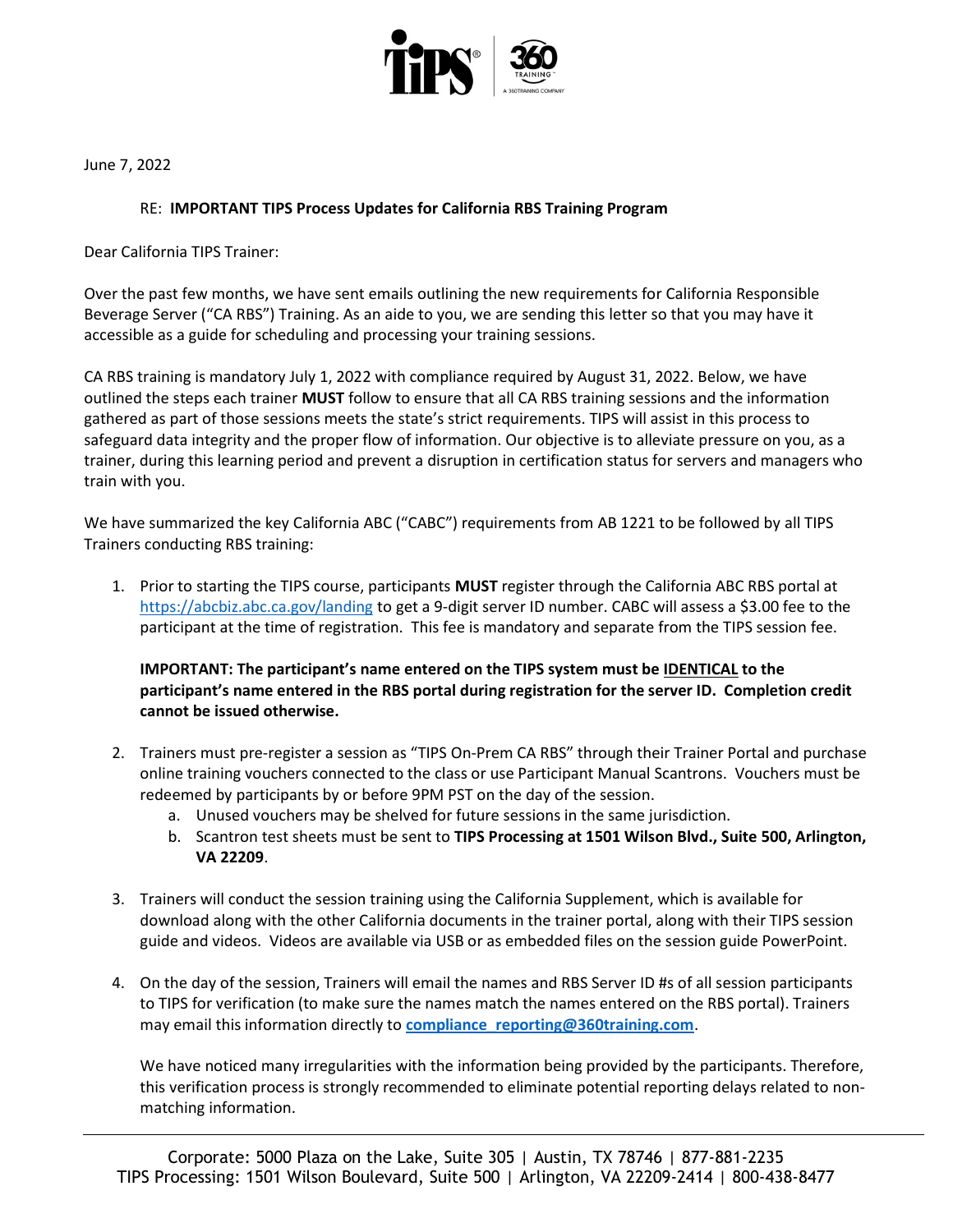

June 7, 2022

## RE: IMPORTANT TIPS Process Updates for California RBS Training Program

Dear California TIPS Trainer:

Over the past few months, we have sent emails outlining the new requirements for California Responsible Beverage Server ("CA RBS") Training. As an aide to you, we are sending this letter so that you may have it accessible as a guide for scheduling and processing your training sessions.

CA RBS training is mandatory July 1, 2022 with compliance required by August 31, 2022. Below, we have outlined the steps each trainer MUST follow to ensure that all CA RBS training sessions and the information gathered as part of those sessions meets the state's strict requirements. TIPS will assist in this process to safeguard data integrity and the proper flow of information. Our objective is to alleviate pressure on you, as a trainer, during this learning period and prevent a disruption in certification status for servers and managers who train with you.

We have summarized the key California ABC ("CABC") requirements from AB 1221 to be followed by all TIPS Trainers conducting RBS training:

1. Prior to starting the TIPS course, participants **MUST** register through the California ABC RBS portal at https://abcbiz.abc.ca.gov/landing to get a 9-digit server ID number. CABC will assess a \$3.00 fee to the participant at the time of registration. This fee is mandatory and separate from the TIPS session fee.

## IMPORTANT: The participant's name entered on the TIPS system must be IDENTICAL to the participant's name entered in the RBS portal during registration for the server ID. Completion credit cannot be issued otherwise.

- 2. Trainers must pre-register a session as "TIPS On-Prem CA RBS" through their Trainer Portal and purchase online training vouchers connected to the class or use Participant Manual Scantrons. Vouchers must be redeemed by participants by or before 9PM PST on the day of the session.
	- a. Unused vouchers may be shelved for future sessions in the same jurisdiction.
	- b. Scantron test sheets must be sent to TIPS Processing at 1501 Wilson Blvd., Suite 500, Arlington, VA 22209.
- 3. Trainers will conduct the session training using the California Supplement, which is available for download along with the other California documents in the trainer portal, along with their TIPS session guide and videos. Videos are available via USB or as embedded files on the session guide PowerPoint.
- 4. On the day of the session, Trainers will email the names and RBS Server ID #s of all session participants to TIPS for verification (to make sure the names match the names entered on the RBS portal). Trainers may email this information directly to compliance reporting@360training.com.

We have noticed many irregularities with the information being provided by the participants. Therefore, this verification process is strongly recommended to eliminate potential reporting delays related to nonmatching information.